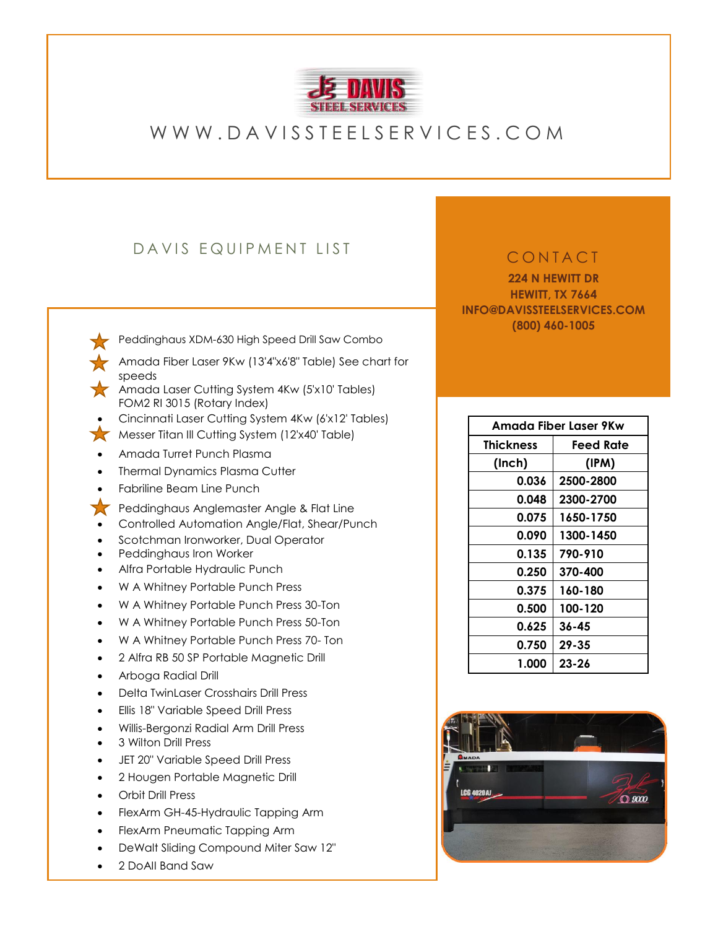

# W W W . D A V I S S T E E L S E R V I C E S . C O M

## DAVIS EQUIPMENT LIST

• [Peddinghaus XDM-630 High Speed Drill Saw Combo](https://www.peddinghaus.com/machines/8)

- [Amada Fiber Laser 9Kw \(13'4"x6'8" Table\) See chart for](https://www.amada.com/america/laser-cutting-systems) [speeds](https://www.amada.com/america/laser-cutting-system)
- [Amada Laser Cutting System 4Kw \(5'x10' Tables\)](https://www.amada.com/america/laser-cutting-systems) [FOM2 RI 3015 \(Rotary Index\)](https://www.amada.com/america/laser-cutting-systems)
- Cincinnati Laser Cutting System 4Kw (6'x12' Tables)
- [Messer Titan Ill Cutting System \(12'x40' Table\)](https://us.messer-cutting.com/products/titan-iii/)
- Amada Turret Punch Plasma
- **Thermal Dynamics Plasma Cutter**
- Fabriline Beam Line Punch
- [Peddinghaus Anglemaster Angle & Flat Line](https://www.peddinghaus.com/angle-processing-system/punching-and-shearing-angle-line-machine/angle-shear-system/products-1/110_afps643)
- Controlled Automation Angle/Flat, Shear/Punch
- Scotchman Ironworker, Dual Operator
- Peddinghaus Iron Worker
- Alfra Portable Hydraulic Punch
- W A Whitney Portable Punch Press
- W A Whitney Portable Punch Press 30-Ton
- W A Whitney Portable Punch Press 50-Ton
- W A Whitney Portable Punch Press 70- Ton
- 2 Alfra RB 50 SP Portable Magnetic Drill
- Arboga Radial Drill
- Delta TwinLaser Crosshairs Drill Press
- Ellis 18" Variable Speed Drill Press
- Willis-Bergonzi Radial Arm Drill Press
- 3 Wilton Drill Press
- JET 20" Variable Speed Drill Press
- 2 Hougen Portable Magnetic Drill
- Orbit Drill Press
- FlexArm GH-45-Hydraulic Tapping Arm
- FlexArm Pneumatic Tapping Arm
- DeWalt Sliding Compound Miter Saw 12"
- 2 DoAII Band Saw

#### **CONTACT**

**224 N HEWITT DR HEWITT, TX 7664 INFO@DAVISSTEELSERVICES.COM (800) 460-1005**

| Amada Fiber Laser 9Kw |           |
|-----------------------|-----------|
| <b>Thickness</b>      | Feed Rate |
| (Inch)                | (IPM)     |
| 0.036                 | 2500-2800 |
| 0.048                 | 2300-2700 |
| 0.075                 | 1650-1750 |
| 0.090                 | 1300-1450 |
| 0.135                 | 790-910   |
| 0.250                 | 370-400   |
| 0.375                 | 160-180   |
| 0.500                 | 100-120   |
| 0.625                 | $36 - 45$ |
| 0.750                 | $29 - 35$ |
| 1.000                 | $23 - 26$ |